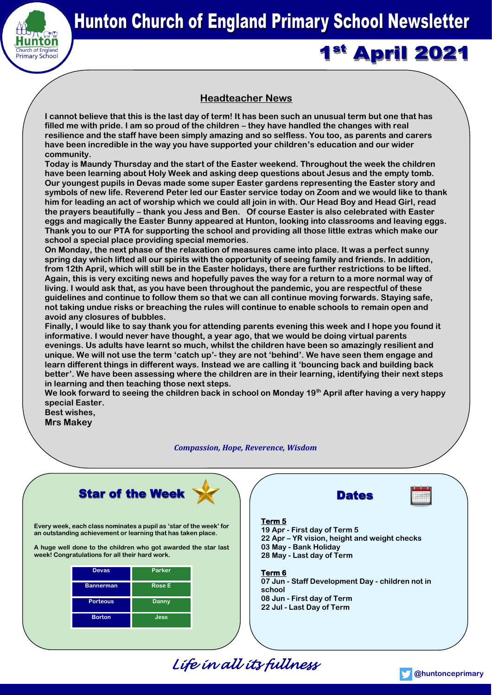

# **1st April 2021**

# **Headteacher News**

**I cannot believe that this is the last day of term! It has been such an unusual term but one that has filled me with pride. I am so proud of the children – they have handled the changes with real resilience and the staff have been simply amazing and so selfless. You too, as parents and carers have been incredible in the way you have supported your children's education and our wider community.** 

**Today is Maundy Thursday and the start of the Easter weekend. Throughout the week the children have been learning about Holy Week and asking deep questions about Jesus and the empty tomb. Our youngest pupils in Devas made some super Easter gardens representing the Easter story and symbols of new life. Reverend Peter led our Easter service today on Zoom and we would like to thank him for leading an act of worship which we could all join in with. Our Head Boy and Head Girl, read the prayers beautifully – thank you Jess and Ben. Of course Easter is also celebrated with Easter eggs and magically the Easter Bunny appeared at Hunton, looking into classrooms and leaving eggs. Thank you to our PTA for supporting the school and providing all those little extras which make our school a special place providing special memories.**

**On Monday, the next phase of the relaxation of measures came into place. It was a perfect sunny spring day which lifted all our spirits with the opportunity of seeing family and friends. In addition, from 12th April, which will still be in the Easter holidays, there are further restrictions to be lifted. Again, this is very exciting news and hopefully paves the way for a return to a more normal way of living. I would ask that, as you have been throughout the pandemic, you are respectful of these guidelines and continue to follow them so that we can all continue moving forwards. Staying safe, not taking undue risks or breaching the rules will continue to enable schools to remain open and avoid any closures of bubbles.**

**Finally, I would like to say thank you for attending parents evening this week and I hope you found it informative. I would never have thought, a year ago, that we would be doing virtual parents evenings. Us adults have learnt so much, whilst the children have been so amazingly resilient and unique. We will not use the term 'catch up'- they are not 'behind'. We have seen them engage and learn different things in different ways. Instead we are calling it 'bouncing back and building back better'. We have been assessing where the children are in their learning, identifying their next steps in learning and then teaching those next steps.** 

**We look forward to seeing the children back in school on Monday 19th April after having a very happy special Easter.**

**Best wishes, Mrs Makey**

*Compassion, Hope, Reverence, Wisdom*



**Every week, each class nominates a pupil as 'star of the week' for an outstanding achievement or learning that has taken place.** 

**A huge well done to the children who got awarded the star last week! Congratulations for all their hard work.**

| <b>Devas</b>     | Parker        |
|------------------|---------------|
| <b>Bannerman</b> | <b>Rose E</b> |
| <b>Porteous</b>  | Danny         |
| <b>Borton</b>    | Jess          |





# **Term 5**

**19 Apr - First day of Term 5 22 Apr – YR vision, height and weight checks 03 May - Bank Holiday 28 May - Last day of Term**

# **Term 6**

**07 Jun - Staff Development Day - children not in school 08 Jun - First day of Term 22 Jul - Last Day of Term**

*Life in all its fullness*